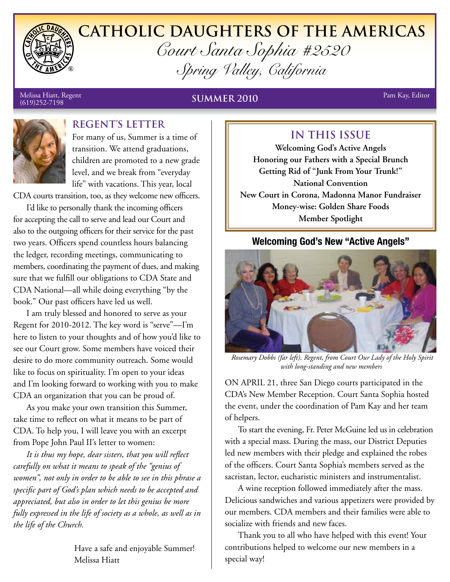

# **Catholic Daughters of the Americas** *Court Santa Sophia #2520 Spring Valley, California*

# Melissa Hiatt, Regent Pam Kay, Editor (619)252-7198 **SUMMER 2010**



# **REGENT's Letter**

For many of us, Summer is a time of transition. We attend graduations, children are promoted to a new grade level, and we break from "everyday life" with vacations. This year, local

CDA courts transition, too, as they welcome new officers.

I'd like to personally thank the incoming officers for accepting the call to serve and lead our Court and also to the outgoing officers for their service for the past two years. Officers spend countless hours balancing the ledger, recording meetings, communicating to members, coordinating the payment of dues, and making sure that we fulfill our obligations to CDA State and CDA National—all while doing everything "by the book." Our past officers have led us well.

I am truly blessed and honored to serve as your Regent for 2010-2012. The key word is "serve"—I'm here to listen to your thoughts and of how you'd like to see our Court grow. Some members have voiced their desire to do more community outreach. Some would like to focus on spirituality. I'm open to your ideas and I'm looking forward to working with you to make CDA an organization that you can be proud of.

As you make your own transition this Summer, take time to reflect on what it means to be part of CDA. To help you, I will leave you with an excerpt from Pope John Paul II's letter to women:

*It is thus my hope, dear sisters, that you will reflect carefully on what it means to speak of the "genius of women", not only in order to be able to see in this phrase a specific part of God's plan which needs to be accepted and appreciated, but also in order to let this genius be more fully expressed in the life of society as a whole, as well as in the life of the Church.*

> Have a safe and enjoyable Summer! Melissa Hiatt

# **IN THIS ISSUE**

**Welcoming God's Active Angels Honoring our Fathers with a Special Brunch Getting Rid of "Junk From Your Trunk!" National Convention New Court in Corona, Madonna Manor Fundraiser Money-wise: Golden Share Foods Member Spotlight**

#### **Welcoming God's New "Active Angels"**



 *Rosemary Dobbs (far left), Regent, from Court Our Lady of the Holy Spirit with long-standing and new members*

ON APRIL 21, three San Diego courts participated in the CDA's New Member Reception. Court Santa Sophia hosted the event, under the coordination of Pam Kay and her team of helpers.

To start the evening, Fr. Peter McGuine led us in celebration with a special mass. During the mass, our District Deputies led new members with their pledge and explained the robes of the officers. Court Santa Sophia's members served as the sacristan, lector, eucharistic ministers and instrumentalist.

A wine reception followed immediately after the mass. Delicious sandwiches and various appetizers were provided by our members. CDA members and their families were able to socialize with friends and new faces.

Thank you to all who have helped with this event! Your contributions helped to welcome our new members in a special way!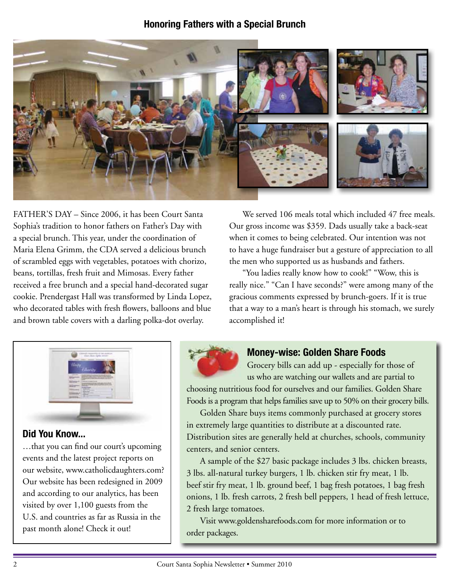#### **Honoring Fathers with a Special Brunch**



FATHER'S DAY – Since 2006, it has been Court Santa Sophia's tradition to honor fathers on Father's Day with a special brunch. This year, under the coordination of Maria Elena Grimm, the CDA served a delicious brunch of scrambled eggs with vegetables, potatoes with chorizo, beans, tortillas, fresh fruit and Mimosas. Every father received a free brunch and a special hand-decorated sugar cookie. Prendergast Hall was transformed by Linda Lopez, who decorated tables with fresh flowers, balloons and blue and brown table covers with a darling polka-dot overlay.

We served 106 meals total which included 47 free meals. Our gross income was \$359. Dads usually take a back-seat when it comes to being celebrated. Our intention was not to have a huge fundraiser but a gesture of appreciation to all the men who supported us as husbands and fathers.

"You ladies really know how to cook!" "Wow, this is really nice." "Can I have seconds?" were among many of the gracious comments expressed by brunch-goers. If it is true that a way to a man's heart is through his stomach, we surely accomplished it!



#### **Did You Know...**

…that you can find our court's upcoming events and the latest project reports on our website, www.catholicdaughters.com? Our website has been redesigned in 2009 and according to our analytics, has been visited by over 1,100 guests from the U.S. and countries as far as Russia in the past month alone! Check it out!



#### **Money-wise: Golden Share Foods**

Grocery bills can add up - especially for those of us who are watching our wallets and are partial to

choosing nutritious food for ourselves and our families. Golden Share Foods is a program that helps families save up to 50% on their grocery bills.

Golden Share buys items commonly purchased at grocery stores in extremely large quantities to distribute at a discounted rate. Distribution sites are generally held at churches, schools, community centers, and senior centers.

A sample of the \$27 basic package includes 3 lbs. chicken breasts, 3 lbs. all-natural turkey burgers, 1 lb. chicken stir fry meat, 1 lb. beef stir fry meat, 1 lb. ground beef, 1 bag fresh potatoes, 1 bag fresh onions, 1 lb. fresh carrots, 2 fresh bell peppers, 1 head of fresh lettuce, 2 fresh large tomatoes.

Visit www.goldensharefoods.com for more information or to order packages.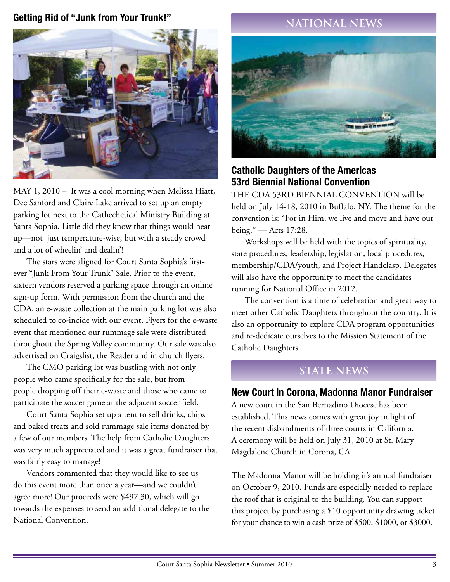### **Getting Rid of "Junk from Your Trunk!"**



MAY 1, 2010 – It was a cool morning when Melissa Hiatt, Dee Sanford and Claire Lake arrived to set up an empty parking lot next to the Cathechetical Ministry Building at Santa Sophia. Little did they know that things would heat up—not just temperature-wise, but with a steady crowd and a lot of wheelin' and dealin'!

The stars were aligned for Court Santa Sophia's firstever "Junk From Your Trunk" Sale. Prior to the event, sixteen vendors reserved a parking space through an online sign-up form. With permission from the church and the CDA, an e-waste collection at the main parking lot was also scheduled to co-incide with our event. Flyers for the e-waste event that mentioned our rummage sale were distributed throughout the Spring Valley community. Our sale was also advertised on Craigslist, the Reader and in church flyers.

The CMO parking lot was bustling with not only people who came specifically for the sale, but from people dropping off their e-waste and those who came to participate the soccer game at the adjacent soccer field.

Court Santa Sophia set up a tent to sell drinks, chips and baked treats and sold rummage sale items donated by a few of our members. The help from Catholic Daughters was very much appreciated and it was a great fundraiser that was fairly easy to manage!

Vendors commented that they would like to see us do this event more than once a year—and we couldn't agree more! Our proceeds were \$497.30, which will go towards the expenses to send an additional delegate to the National Convention.

## **National News**



#### **Catholic Daughters of the Americas 53rd Biennial National Convention**

THE CDA 53RD BIENNIAL CONVENTION will be held on July 14-18, 2010 in Buffalo, NY. The theme for the convention is: "For in Him, we live and move and have our being." — Acts 17:28.

Workshops will be held with the topics of spirituality, state procedures, leadership, legislation, local procedures, membership/CDA/youth, and Project Handclasp. Delegates will also have the opportunity to meet the candidates running for National Office in 2012.

The convention is a time of celebration and great way to meet other Catholic Daughters throughout the country. It is also an opportunity to explore CDA program opportunities and re-dedicate ourselves to the Mission Statement of the Catholic Daughters.

## **STATE News**

#### **New Court in Corona, Madonna Manor Fundraiser**

A new court in the San Bernadino Diocese has been established. This news comes with great joy in light of the recent disbandments of three courts in California. A ceremony will be held on July 31, 2010 at St. Mary Magdalene Church in Corona, CA.

The Madonna Manor will be holding it's annual fundraiser on October 9, 2010. Funds are especially needed to replace the roof that is original to the building. You can support this project by purchasing a \$10 opportunity drawing ticket for your chance to win a cash prize of \$500, \$1000, or \$3000.